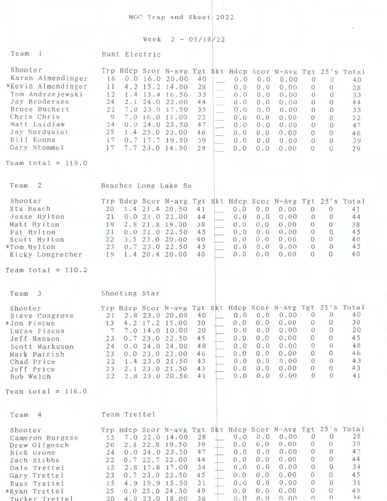MGC Trap and Skeet 2022

Week  $2 - 05/18/22$ 

| Team<br>$\frac{1}{2}$                                                                                                                                                                                          | Hunt Electric                                                                                                                                                                                                                                                                                                            |                                                                      |                                                                                                                                                        |                                                                                                                                                                                                                    |                                                                                                                                                                                  |
|----------------------------------------------------------------------------------------------------------------------------------------------------------------------------------------------------------------|--------------------------------------------------------------------------------------------------------------------------------------------------------------------------------------------------------------------------------------------------------------------------------------------------------------------------|----------------------------------------------------------------------|--------------------------------------------------------------------------------------------------------------------------------------------------------|--------------------------------------------------------------------------------------------------------------------------------------------------------------------------------------------------------------------|----------------------------------------------------------------------------------------------------------------------------------------------------------------------------------|
| Shooter<br>Karen Almendinger<br>*Kevin Almendinger<br>Tom Andrzejewski<br>Jay Brodersen<br>Bruce Buchert<br>Chris Chris<br>Matt Laidlaw<br>Jay Nordquist<br>Bill Ronne<br>Gary Stommel<br>Team total = $119.0$ | Trp Hdcp Scor N-avg Tgt \$kt Hdcp Scor N-Avg Tgt 25's Total<br>16<br>$0.0$ 16.0 20.00<br>11<br>$4.2$ 15.2 14.00<br>12<br>1.4 13.4 16.50<br>24<br>2.1 24.0 22.00<br>22<br>7.0 23.0 17.50<br>$\overline{9}$<br>7.0 16.0 11.00<br>24<br>0.024.023.50<br>25 1.4 25.0 23.00<br>17<br>$0.7$ 17.7 19.50<br>7.7 23.0 14.50<br>17 | 40<br>28<br>33<br>44<br>35<br>22<br>47<br>46<br>39<br>29             | 0.0<br>0.0<br>0.0<br>0.0<br>0.0<br>0.0<br>0.0<br>0.0<br>0.0<br>0.0<br>0.0<br>0.0<br>9. J<br>0.0<br>0.0<br>a.<br>0.0<br>0.0<br>0.0<br>0.0<br>0.0<br>0.0 | 0.00<br>$\theta$<br>0.00<br>$\theta$<br>0.00<br>$\theta$<br>0.00<br>$\overline{0}$<br>0.00<br>$\theta$<br>0.00<br>$\theta$<br>0.00<br>$\theta$<br>0.00<br>$\theta$<br>0.00<br>$\overline{0}$<br>0.00<br>$\Omega$   | $\theta$<br>40<br>28<br>$\Omega$<br>33<br>$\Omega$<br>$\Omega$<br>44<br>35<br>$\Omega$<br>22<br>$\Omega$<br>$\Omega$<br>47<br>$\Omega$<br>46<br>39<br>$\Omega$<br>$\Omega$<br>29 |
|                                                                                                                                                                                                                |                                                                                                                                                                                                                                                                                                                          |                                                                      |                                                                                                                                                        |                                                                                                                                                                                                                    |                                                                                                                                                                                  |
| Team<br>$\overline{2}$<br>Shooter<br>Stu Beach<br>Jesse Hylton<br>Matt Hylton<br>Pat Hylton<br>Scott Hylton                                                                                                    | Beaches Long Lake Se<br>Trp Hdcp Scor N-avg Tgt Skt Hdcp Scor N-Avg Tgt 25's Total<br>20<br>1.4 21.4 20.50<br>21<br>0.0<br>2.8<br>19<br>21<br>0.0<br>3.5 23.0 20.00<br>22                                                                                                                                                | 41<br>21.0 22.00<br>44<br>21.8 19.00<br>38<br>21.0 22.50<br>45<br>40 | 0.0<br>0.0<br>0.0<br>0.0<br>0.0<br>0.0<br>0.0<br>0.0<br>0.0<br>0.0                                                                                     | 0.00<br>$\theta$<br>0.00<br>$\overline{0}$<br>0.00<br>$\theta$<br>0.00<br>$\theta$<br>0.00<br>$\theta$<br>$\theta$                                                                                                 | $\overline{0}$<br>41<br>$\theta$<br>44<br>$\theta$<br>38<br>$\Omega$<br>45<br>$\Omega$<br>40<br>$\Omega$                                                                         |
| *Tom Hylton<br>Ricky Longrecher                                                                                                                                                                                | 23 0.7 23.0 22.50<br>$1.4$ 20.4 20.00<br>19                                                                                                                                                                                                                                                                              | 45<br>40                                                             | 0.0<br>0.0<br>0.0<br>0.0                                                                                                                               | 0.00<br>0.00<br>$\Omega$                                                                                                                                                                                           | 45<br>40<br>$\Omega$                                                                                                                                                             |
| Team total = $110.2$                                                                                                                                                                                           |                                                                                                                                                                                                                                                                                                                          |                                                                      |                                                                                                                                                        |                                                                                                                                                                                                                    |                                                                                                                                                                                  |
| Team<br>$\overline{\phantom{a}3}$                                                                                                                                                                              | Shooting Star                                                                                                                                                                                                                                                                                                            |                                                                      |                                                                                                                                                        |                                                                                                                                                                                                                    |                                                                                                                                                                                  |
| Shooter<br>Steve Cosgrove<br>*Jon Fiscus<br>Lucas Fiscus<br>Jeff Hanson<br>Scott Markuson<br>Mark Parrish<br>Chad Price<br>Jeff Price<br>Bob Welch                                                             | Trp Hdcp Scor N-avg Tgt Skt Hdcp Scor N-Avg Tgt 25's Total<br>2.8 23.0 20.00<br>21<br>4.2 17.2 15.00<br>13<br>$7\phantom{1}$<br>7.0 14.0 10.00<br>0.723.022.50<br>23<br>0.024.024.00<br>24<br>0.023.023.00<br>23<br>$1.4$ 23.0 21.50<br>22<br>2.1 23.0 21.50<br>23<br>2.8 23.0 20.50<br>22                               | 40<br>30<br>20<br>45<br>48<br>46<br>43<br>43<br>41                   | 0.0<br>0.0<br>0.0<br>0.0<br>0.0<br>0.0<br>0.0<br>0.0<br>0.0<br>0.0<br>0.0<br>0.0<br>0.0<br>0.0<br>0.0<br>0.0                                           | 0.00<br>$\overline{0}$<br>0.00<br>$\mathbf{0}$<br>$0.0 \t 0.0 \t 0.00 \t 0 \t 0$<br>0.00<br>$\theta$<br>0.00<br>$\mathbf{0}$<br>0.00<br>$\theta$<br>0.00<br>$\overline{0}$<br>0.00<br>$\Omega$<br>0.00<br>$\Omega$ | 40<br>$\overline{0}$<br>$\mathbf{0}$<br>30<br>20<br>45<br>$\theta$<br>48<br>$\theta$<br>$\theta$<br>46<br>43<br>$\Omega$<br>$\Omega$<br>43<br>41<br>$\Omega$                     |
| Team total = $116.0$                                                                                                                                                                                           |                                                                                                                                                                                                                                                                                                                          |                                                                      |                                                                                                                                                        |                                                                                                                                                                                                                    |                                                                                                                                                                                  |
| Team <sub>4</sub>                                                                                                                                                                                              | Team Trettel                                                                                                                                                                                                                                                                                                             |                                                                      |                                                                                                                                                        |                                                                                                                                                                                                                    |                                                                                                                                                                                  |
| Shooter<br>Cameron Burgess<br>Drew Gilgosch<br>Nick Grone<br>Zach Stibbe<br>Dale Trettel<br>Gary Trettel<br>Russ Trettel<br>*Ryan Trettel<br>Tucker Trettel                                                    | Trp Hdcp Scor N-avg Tgt Skt Hdcp Scor N-Avg Tgt 25's Total<br>15 7.0 22.0 14.00<br>2.8 22.8 19.50<br>20<br>0.024.023.50<br>24<br>0.722.722.00<br>22<br>2.8 17.8 17.00<br>15<br>0.723.022.50<br>23<br>4.9 19.9 15.50<br>15<br>0.025.024.50<br>25<br>4.9 23.0 18.00<br>20                                                  | 28<br>39<br>47<br>44<br>34<br>45<br>31<br>49<br>36                   | 0.0<br>0.0<br>0.0<br>0.0<br>0.0<br>0.0<br>0.0<br>0.0<br>0.0<br>0.0<br>0.0<br>0.0<br>0.0<br>0.0<br>0.0<br>0.0<br>0.0<br>0.0                             | 0.00<br>$\overline{0}$<br>0.00<br>$\theta$<br>0.00<br>$\theta$<br>0.00<br>$\overline{0}$<br>0.00<br>$\mathbf{0}$<br>0.00<br>$\mathbf{0}$<br>0.00<br>$\theta$<br>0.00<br>$\overline{0}$<br>0.00<br>$\Omega$         | 28<br>$\theta$<br>39<br>$\theta$<br>47<br>$\theta$<br>44<br>$\Omega$<br>$\Omega$<br>34<br>$\Omega$<br>45<br>$\overline{0}$<br>31<br>$\Omega$<br>49<br>$\Omega$<br>36             |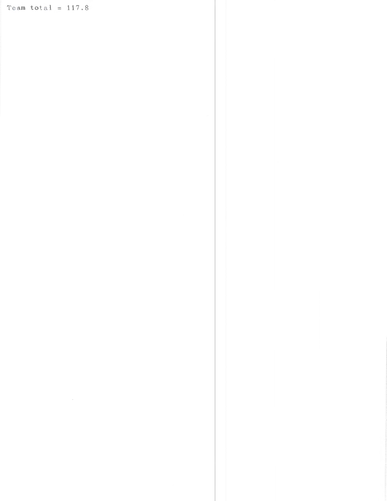Team total =  $117.8$ 

 $\mathcal{L}^{\text{max}}_{\text{max}}$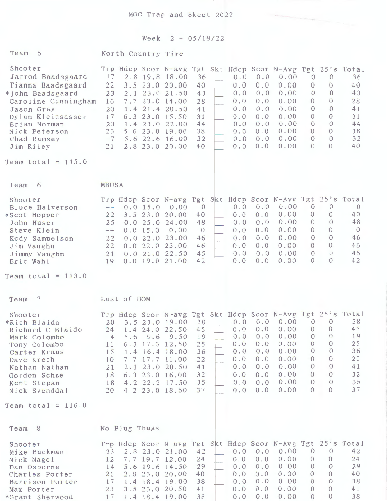MGC Trap and Skeet 2022

## Week  $2 - 05/18/22$

| Team 5                                                                                                                                                                                                               | North Country Tire                                                                         |                          |                    |                                                                                                                                                                                                                                            |                                                                      |                                                                    |                                                                    |                                                                                                                        |                                                                                                                      |                                                                                                                                |                                                                |
|----------------------------------------------------------------------------------------------------------------------------------------------------------------------------------------------------------------------|--------------------------------------------------------------------------------------------|--------------------------|--------------------|--------------------------------------------------------------------------------------------------------------------------------------------------------------------------------------------------------------------------------------------|----------------------------------------------------------------------|--------------------------------------------------------------------|--------------------------------------------------------------------|------------------------------------------------------------------------------------------------------------------------|----------------------------------------------------------------------------------------------------------------------|--------------------------------------------------------------------------------------------------------------------------------|----------------------------------------------------------------|
| Shooter<br>Jarrod Baadsgaard<br>Tianna Baadsgaard<br>*john Baadsgaard<br>Caroline Cunningham<br>Jason Gray<br>Dylan Kleinsasser<br>Brian Norman<br>Nick Peterson<br>Chad Ramsey<br>Jim Riley<br>Team total = $115.0$ | 17<br>22<br>23<br>16<br>20<br>17<br>23<br>23<br>17<br>21                                   | 2.1<br>1.4<br>6.3<br>1.4 |                    | Trp Hdcp Scor N-avg Tgt Skt Hdcp Scor N-Avg Tgt 25's Total<br>2.8 19.8 18.00<br>3.5 23.0 20.00<br>23.0 21.50<br>7.723.014.00<br>21.4 20.50<br>23.0 15.50<br>23.0 22.00<br>5.6 23.0 19.00<br>$5.6$ 22.6 16.00<br>2.8 23.0 20.00             | 36<br>40<br>43<br>28<br>41<br>31<br>44<br>38<br>32<br>40             | 0.0<br>0.0<br>0.0<br>0.0<br>0.0<br>0.0<br>0.0<br>0.0<br>0.0<br>0.0 | 0.0<br>0.0<br>0.0<br>0.0<br>0.0<br>0.0<br>0.0<br>0.0<br>0.0<br>0.0 | 0.00<br>0.00<br>0.00<br>0.00<br>0.00<br>0.00<br>0.00<br>0.00<br>0.00<br>0.00                                           | $\theta$<br>$\theta$<br>$\theta$<br>$\Omega$<br>$\Omega$<br>$\Omega$<br>$\Omega$<br>$\Omega$<br>$\theta$<br>$\Omega$ | $\theta$<br>$\left\{ \right\}$<br>$\Omega$<br>$\Omega$<br>$\Omega$<br>$\Omega$<br>$\Omega$<br>$\Omega$<br>$\Omega$<br>$\Omega$ | 36<br>40<br>43<br>28<br>41<br>31<br>44<br>38<br>32<br>40       |
|                                                                                                                                                                                                                      |                                                                                            |                          |                    |                                                                                                                                                                                                                                            |                                                                      |                                                                    |                                                                    |                                                                                                                        |                                                                                                                      |                                                                                                                                |                                                                |
| Team<br>6<br>Shooter<br>Bruce Halverson<br>*Scot Hopper<br>John Huser<br>Steve Klein<br>Kody Samuelson<br>Jim Vaughn<br>Jimmy Vaughn<br>Eric Wahl                                                                    | MBUSA<br>$\longrightarrow$ $\longrightarrow$<br>22<br>25<br>$\sim$<br>22<br>22<br>21<br>19 | 0.0                      | 0.015.0<br>0.015.0 | Trp Hdcp Scor N-avg Tgt Skt Hdcp Scor N-Avg Tgt 25's Total<br>0.00<br>3.5 23.0 20.00<br>0.025.024.00<br>0.00<br>22.0 23.00<br>0.022.023.00<br>0.021.022.50<br>$0.0$ 19.0 21.00                                                             | $\overline{0}$<br>40<br>48<br>$\overline{0}$<br>46<br>46<br>45<br>42 | 0.0<br>0.0<br>0.0<br>0.0<br>0.0<br>0.0<br>0.0<br>0.0               | 0.0<br>0.0<br>0.0<br>0.0<br>0.0<br>0.0<br>0.0<br>0.0               | 0.00<br>0.00<br>0.00<br>0.00<br>0.00<br>0.00<br>0.00<br>0.00                                                           | $\theta$<br>$\theta$<br>$\theta$<br>$\theta$<br>$\theta$<br>$\Omega$<br>$\theta$<br>$\Omega$                         | $\Omega$<br>$\Omega$<br>$\Omega$<br>$\Omega$<br>$\Omega$<br>$\Omega$<br>$\Omega$<br>$\bigcirc$                                 | $\Omega$<br>40<br>48<br>$\overline{0}$<br>46<br>46<br>45<br>42 |
| Team total = $113.0$                                                                                                                                                                                                 |                                                                                            |                          |                    |                                                                                                                                                                                                                                            |                                                                      |                                                                    |                                                                    |                                                                                                                        |                                                                                                                      |                                                                                                                                |                                                                |
| Team<br>$\overline{7}$                                                                                                                                                                                               |                                                                                            | Last of DOM              |                    |                                                                                                                                                                                                                                            |                                                                      |                                                                    |                                                                    |                                                                                                                        |                                                                                                                      |                                                                                                                                |                                                                |
| Shooter<br>*Rich Blaido<br>Richard C Blaido<br>Mark Colombo<br>Tony Colombo<br>Carter Kraus<br>Dave Krech<br>Nathan Nathan<br>Gordon Schue<br>Kent Stepan<br>Nick Svenddal                                           | 20<br>4<br>11<br>15<br>10<br>21<br>18<br>18<br>20                                          | 5.6                      | 9.6                | Trp Hdcp Scor N-avg Tgt Skt Hdcp Scor N-Avg Tgt 25's Total<br>3.5 23.0 19.00<br>24 1.4 24.0 22.50 45<br>9.50<br>6.3 17.3 12.50<br>1.4 16.4 18.00<br>7.7 17.7 11.00<br>2.1 23.0 20.50<br>6.3 23.0 16.00<br>4.2 22.2 17.50<br>4.2 23.0 18.50 | 38<br>19<br>25<br>36<br>22<br>41<br>32<br>35<br>37                   | 0.0<br>0.0<br>0.0<br>0.0<br>0.0<br>0.0<br>0.0<br>0.0               | 0.0<br>0.0<br>0.0<br>0.0<br>0.0<br>0.0<br>0.0<br>0.0               | $0.0 \t 0.0 \t 0.00$<br>$0.0 \t 0.0 \t 0.00 \t 0 \t 0$<br>0.00<br>0.00<br>0.00<br>0.00<br>0.00<br>0.00<br>0.00<br>0.00 | $\theta$<br>$\theta$<br>$\theta$<br>$\theta$<br>$\theta$<br>$\theta$<br>$\theta$<br>$\mathbf{0}$<br>$\Omega$         | $\overline{0}$<br>$\theta$<br>$\theta$<br>$\theta$<br>$\theta$<br>$\Omega$<br>$\theta$<br>$\Omega$<br>$\Omega$                 | 38<br>45<br>19<br>25<br>36<br>22<br>41<br>32<br>35<br>37       |
| Team total = $116.0$                                                                                                                                                                                                 |                                                                                            |                          |                    |                                                                                                                                                                                                                                            |                                                                      |                                                                    |                                                                    |                                                                                                                        |                                                                                                                      |                                                                                                                                |                                                                |
| Team 8                                                                                                                                                                                                               |                                                                                            | No Plug Thugs            |                    |                                                                                                                                                                                                                                            |                                                                      |                                                                    |                                                                    |                                                                                                                        |                                                                                                                      |                                                                                                                                |                                                                |
| Shooter<br>Mike Buckman<br>Nick Nagel<br>Dan Osborne<br>Charles Porter<br>Harrison Porter<br>Max Porter<br>*Grant Sherwood                                                                                           | 23<br>12<br>14<br>21<br>17<br>23<br>17                                                     |                          |                    | Trp Hdcp Scor N-avg Tgt Skt Hdcp Scor N-Avg Tgt 25's Total<br>2.8 23.0 21.00<br>7.7 19.7 12.00<br>5.6 19.6 14.50<br>2.8 23.0 20.00<br>1.4 18.4 19.00<br>3.5 23.0 20.50<br>1.4 18.4 19.00                                                   | 42<br>24<br>29<br>40<br>38<br>41<br>38                               | 0.0<br>0.0<br>0.0<br>0.0<br>0.0<br>0.0<br>0.0                      | 0.0<br>0.0<br>$0.0$<br>0.0<br>0.0<br>0.0<br>0.0                    | 0.00<br>0.00<br>0.00<br>0.00<br>0.00<br>0.00<br>0.00                                                                   | $\mathbf{0}$<br>$\mathbf{0}$<br>$\theta$<br>$\theta$<br>$\overline{0}$<br>$\theta$<br>$\theta$                       | $\overline{0}$<br>$\mathbf{0}$<br>$\overline{0}$<br>$\theta$<br>$\theta$<br>$\theta$<br>$\Omega$                               | 42<br>24<br>29<br>40<br>38<br>41<br>38                         |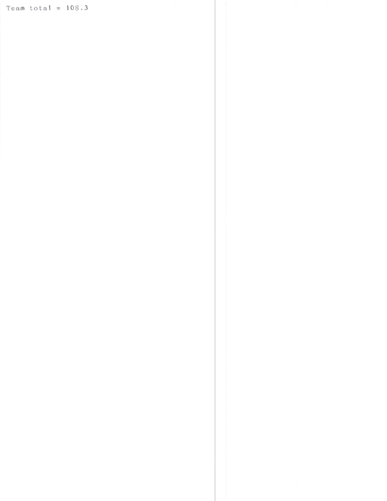Team total =  $108.3$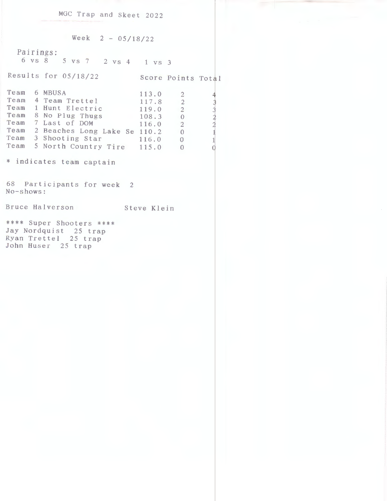MGC Trap and Skeet 2022

Week  $2 - 05/18/22$ 

Pairings: 6 VS 8 5 VS 7 2 VS 4 1 VS 3

Results for 05/18/22 Score Points Total

I 4 I  $\overline{\phantom{a}}$  $\frac{2}{3}$  $\frac{2}{1}$ 

|  | Team 6 MBUSA                      | 113.0 | $\overline{2}$           |                |
|--|-----------------------------------|-------|--------------------------|----------------|
|  | Team 4 Team Trettel               | 117.8 | $\overline{2}$           |                |
|  | Team 1 Hunt Electric              | 119.0 | $\overline{\phantom{a}}$ | حباحيا         |
|  | Team 8 No Plug Thugs              | 108.3 | $\bigcirc$               | $\frac{1}{2}$  |
|  | Team 7 Last of DOM                | 116.0 | $\overline{2}$           | $\overline{a}$ |
|  | Team 2 Beaches Long Lake Se 110.2 |       | $\overline{0}$           | $\mathbf{1}$   |
|  | Team 3 Shooting Star 116.0        |       | $\sqrt{0}$               | 1              |
|  | Team 5 North Country Tire 115.0   |       | -0                       |                |

\* indicates team captain

68 Participants for week 2 No-shows:

Bruce Halverson Steve Klein

\*\*\*\* Super Shooters \*\*\*\* Jay Nordquist 25 trap Ryan Trettel 25 trap John Huser 25 trap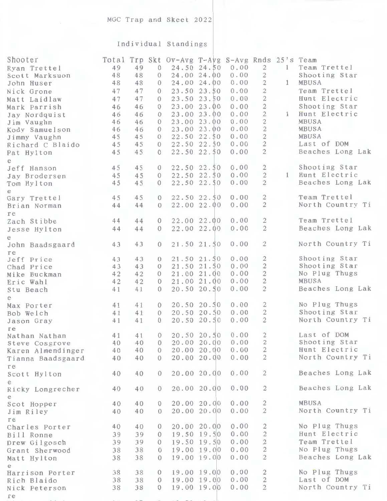## Individual Standings

| 0.00<br>$\overline{2}$<br>49<br>49<br>24.50 24.50<br>Team Trettel<br>$\mathbf{1}$<br>Ryan Trettel<br>$\theta$<br>48<br>24.00 24.00<br>0.00<br>48<br>$\overline{c}$<br>Shooting Star<br>Scott Marksuon<br>$\Omega$<br>0.00<br>$\overline{2}$<br>MBUSA<br>48<br>48<br>24.00 24.00<br>$\mathbf{1}$<br>$\theta$<br>John Huser<br>0.00<br>$\overline{2}$<br>47<br>23.50 23.50<br>Team Trettel<br>47<br>Nick Grone<br>$\Omega$<br>$\overline{2}$<br>0.00<br>47<br>23.50 23.50<br>Hunt Electric<br>47<br>$\Omega$<br>Matt Laidlaw<br>$\overline{2}$<br>0.00<br>23.00 23.00<br>Shooting Star<br>46<br>46<br>$\Omega$<br>Mark Parrish<br>$\overline{2}$<br>0.00<br>23.00 23.00<br>Hunt Electric<br>46<br>$\mathbf{1}$<br>46<br>$\Omega$<br>Jay Nordquist<br>0.00<br>$\overline{2}$<br>23.00 23.00<br>MBUSA<br>46<br>46<br>$\Omega$<br>Jim Vaughn<br>0.00<br>$\mathbf{2}$<br>23.00 23.00<br>MBUSA<br>46<br>46<br>Kody Samuelson<br>$\Omega$<br>$\mathbf{2}$<br>$22.50$ $22.50$<br>0.00<br><b>MBUSA</b><br>45<br>45<br>Jimmy Vaughn<br>$\Omega$<br>$\overline{2}$<br>0.00<br>Last of DOM<br>45<br>22.50 22.50<br>45<br>$\Omega$<br>Richard C Blaido<br>$\overline{2}$<br>0.00<br>Beaches Long Lak<br>45<br>45<br>22.50 22.50<br>$\Omega$<br>Pat Hylton<br>e<br>22.50 22.50<br>0.00<br>2<br>Shooting Star<br>45<br>45<br>Jeff Hanson<br>$\overline{0}$<br>$\overline{2}$<br>22.50 22.50<br>0.00<br>Hunt Electric<br>1<br>45<br>45<br>$\overline{0}$<br>Jay Brodersen<br>$\overline{2}$<br>Beaches Long Lak<br>22.50 22.50<br>0.00<br>45<br>45<br>$\theta$<br>Tom Hylton<br>e<br>$\overline{2}$<br>Team Trettel<br>45<br>$22.50$ $22.50$<br>0.00<br>45<br>$\theta$<br>Gary Trettel<br>$\overline{2}$<br>22.00 22.00<br>0.00<br>North Country Ti<br>44<br>44<br>$\Omega$<br>Brian Norman<br>re<br>$\overline{2}$<br>Team Trettel<br>22.00 22.00<br>0.00<br>44<br>44<br>Zach Stibbe<br>$\Omega$<br>$\overline{2}$<br>22.00 22.00<br>0.00<br>Beaches Long Lak<br>44<br>44<br>$\theta$<br>Jesse Hylton<br>e<br>$\overline{2}$<br>North Country Ti<br>21.50 21.50<br>0.00<br>43<br>43<br>$\overline{0}$<br>John Baadsgaard<br>re<br>21.50 21.50<br>0.00<br>2<br>Shooting Star<br>43<br>43<br>Jeff Price<br>$\theta$<br>$\mathbf{2}$<br>0.00<br>Shooting Star<br>21.50 21.50<br>43<br>43<br>$\theta$<br>Chad Price<br>0.00<br>$\overline{2}$<br>No Plug Thugs<br>21.00 21.00<br>42<br>42<br>$\theta$<br>Mike Buckman<br>$\overline{2}$<br>21.00 21.00<br>MBUSA<br>42<br>0.00<br>42<br>$\Omega$<br>Eric Wahl<br>$\overline{c}$<br>20.50 20.50<br>0.00<br>Beaches Long Lak<br>41<br>41<br>$\theta$<br>Stu Beach<br>e<br>$\mathbf{2}$<br>No Plug Thugs<br>20.50 20.50<br>0.00<br>41<br>41<br>$\theta$<br>Max Porter<br>$\overline{2}$<br>Shooting Star<br>20.50 20.50<br>0.00<br>41<br>41<br>Bob Welch<br>$\theta$<br>$\overline{2}$<br>North Country Ti<br>0.00<br>41<br>20.50 20.50<br>$\overline{0}$<br>41<br>Jason Gray<br>re<br>Last of DOM<br>$\overline{2}$<br>20.50 20.50<br>0.00<br>41<br>41<br>$\theta$<br>Nathan Nathan<br>20.00 20.00<br>0.00<br>2<br>Shooting Star<br>40<br>40<br>$\theta$<br>Steve Cosgrove<br>$\mathbf{2}$<br>Hunt Electric<br>20.00 20.00<br>0.00<br>40<br>40<br>$\mathbf{0}$<br>Karen Almendinger<br>$\overline{2}$<br>North Country Ti<br>20.00 20.00<br>0.00<br>40<br>40<br>$\theta$<br>Tianna Baadsgaard<br>re<br>20.00 20.00<br>0.00<br>$\overline{2}$<br>Beaches Long Lak<br>40<br>40<br>$\theta$<br>Scott Hylton<br>е<br>20.00 20.00<br>0.00<br>$\overline{2}$<br>Beaches Long Lak<br>40<br>40<br>$\theta$<br>Ricky Longrecher<br>e<br>MBUSA<br>0.00<br>$\overline{c}$<br>20.00 20.00<br>40<br>40<br>$\overline{0}$<br>Scot Hopper<br>$\mathbf{2}$<br>North Country Ti<br>0.00<br>20.00 20.00<br>40<br>40<br>$\Omega$<br>Jim Riley<br>re<br>20.00 20.00<br>0.00<br>$\overline{c}$<br>No Plug Thugs<br>40<br>40<br>$\theta$<br>Charles Porter<br>0.00<br>$\overline{c}$<br>19.50 19.50<br>Hunt Electric<br>39<br>39<br>Bill Ronne<br>$\theta$<br>$\mathbf{2}$<br>Team Trettel<br>19.50 19.50<br>0.00<br>39<br>39<br>Drew Gilgosch<br>$\theta$<br>$\sqrt{2}$<br>No Plug Thugs<br>19.00 19.00<br>0.00<br>38<br>38<br>Grant Sherwood<br>$\theta$<br>$\mathbf{2}$<br>Beaches Long Lak<br>19.00 19.00<br>0.00<br>38<br>38<br>$\Omega$<br>Matt Hylton<br>No Plug Thugs<br>19.00 19.00<br>0.00<br>2<br>38<br>38<br>Harrison Porter<br>$\Omega$<br>$\overline{2}$<br>Last of DOM<br>38<br>19.00 19.00<br>0.00<br>38<br>Rich Blaido<br>$\overline{0}$<br>$\overline{2}$<br>North Country Ti<br>19.00 19.00<br>0.00<br>38<br>38<br>$\Omega$<br>Nick Peterson<br>re | Shooter | Total |  | Trp Skt Ov-Avg T-Avg S-Avg Rnds 25's Team |  |  |  |
|--------------------------------------------------------------------------------------------------------------------------------------------------------------------------------------------------------------------------------------------------------------------------------------------------------------------------------------------------------------------------------------------------------------------------------------------------------------------------------------------------------------------------------------------------------------------------------------------------------------------------------------------------------------------------------------------------------------------------------------------------------------------------------------------------------------------------------------------------------------------------------------------------------------------------------------------------------------------------------------------------------------------------------------------------------------------------------------------------------------------------------------------------------------------------------------------------------------------------------------------------------------------------------------------------------------------------------------------------------------------------------------------------------------------------------------------------------------------------------------------------------------------------------------------------------------------------------------------------------------------------------------------------------------------------------------------------------------------------------------------------------------------------------------------------------------------------------------------------------------------------------------------------------------------------------------------------------------------------------------------------------------------------------------------------------------------------------------------------------------------------------------------------------------------------------------------------------------------------------------------------------------------------------------------------------------------------------------------------------------------------------------------------------------------------------------------------------------------------------------------------------------------------------------------------------------------------------------------------------------------------------------------------------------------------------------------------------------------------------------------------------------------------------------------------------------------------------------------------------------------------------------------------------------------------------------------------------------------------------------------------------------------------------------------------------------------------------------------------------------------------------------------------------------------------------------------------------------------------------------------------------------------------------------------------------------------------------------------------------------------------------------------------------------------------------------------------------------------------------------------------------------------------------------------------------------------------------------------------------------------------------------------------------------------------------------------------------------------------------------------------------------------------------------------------------------------------------------------------------------------------------------------------------------------------------------------------------------------------------------------------------------------------------------------------------------------------------------------------------------------------------------------------------------------------------------------------------------------------------------------------------------------------------------------------------------------------------------------------------------------------------------------------------------------------------------------------------------------------------------------------------------------------------------------------------------------------|---------|-------|--|-------------------------------------------|--|--|--|
|                                                                                                                                                                                                                                                                                                                                                                                                                                                                                                                                                                                                                                                                                                                                                                                                                                                                                                                                                                                                                                                                                                                                                                                                                                                                                                                                                                                                                                                                                                                                                                                                                                                                                                                                                                                                                                                                                                                                                                                                                                                                                                                                                                                                                                                                                                                                                                                                                                                                                                                                                                                                                                                                                                                                                                                                                                                                                                                                                                                                                                                                                                                                                                                                                                                                                                                                                                                                                                                                                                                                                                                                                                                                                                                                                                                                                                                                                                                                                                                                                                                                                                                                                                                                                                                                                                                                                                                                                                                                                                                                                                          |         |       |  |                                           |  |  |  |
|                                                                                                                                                                                                                                                                                                                                                                                                                                                                                                                                                                                                                                                                                                                                                                                                                                                                                                                                                                                                                                                                                                                                                                                                                                                                                                                                                                                                                                                                                                                                                                                                                                                                                                                                                                                                                                                                                                                                                                                                                                                                                                                                                                                                                                                                                                                                                                                                                                                                                                                                                                                                                                                                                                                                                                                                                                                                                                                                                                                                                                                                                                                                                                                                                                                                                                                                                                                                                                                                                                                                                                                                                                                                                                                                                                                                                                                                                                                                                                                                                                                                                                                                                                                                                                                                                                                                                                                                                                                                                                                                                                          |         |       |  |                                           |  |  |  |
|                                                                                                                                                                                                                                                                                                                                                                                                                                                                                                                                                                                                                                                                                                                                                                                                                                                                                                                                                                                                                                                                                                                                                                                                                                                                                                                                                                                                                                                                                                                                                                                                                                                                                                                                                                                                                                                                                                                                                                                                                                                                                                                                                                                                                                                                                                                                                                                                                                                                                                                                                                                                                                                                                                                                                                                                                                                                                                                                                                                                                                                                                                                                                                                                                                                                                                                                                                                                                                                                                                                                                                                                                                                                                                                                                                                                                                                                                                                                                                                                                                                                                                                                                                                                                                                                                                                                                                                                                                                                                                                                                                          |         |       |  |                                           |  |  |  |
|                                                                                                                                                                                                                                                                                                                                                                                                                                                                                                                                                                                                                                                                                                                                                                                                                                                                                                                                                                                                                                                                                                                                                                                                                                                                                                                                                                                                                                                                                                                                                                                                                                                                                                                                                                                                                                                                                                                                                                                                                                                                                                                                                                                                                                                                                                                                                                                                                                                                                                                                                                                                                                                                                                                                                                                                                                                                                                                                                                                                                                                                                                                                                                                                                                                                                                                                                                                                                                                                                                                                                                                                                                                                                                                                                                                                                                                                                                                                                                                                                                                                                                                                                                                                                                                                                                                                                                                                                                                                                                                                                                          |         |       |  |                                           |  |  |  |
|                                                                                                                                                                                                                                                                                                                                                                                                                                                                                                                                                                                                                                                                                                                                                                                                                                                                                                                                                                                                                                                                                                                                                                                                                                                                                                                                                                                                                                                                                                                                                                                                                                                                                                                                                                                                                                                                                                                                                                                                                                                                                                                                                                                                                                                                                                                                                                                                                                                                                                                                                                                                                                                                                                                                                                                                                                                                                                                                                                                                                                                                                                                                                                                                                                                                                                                                                                                                                                                                                                                                                                                                                                                                                                                                                                                                                                                                                                                                                                                                                                                                                                                                                                                                                                                                                                                                                                                                                                                                                                                                                                          |         |       |  |                                           |  |  |  |
|                                                                                                                                                                                                                                                                                                                                                                                                                                                                                                                                                                                                                                                                                                                                                                                                                                                                                                                                                                                                                                                                                                                                                                                                                                                                                                                                                                                                                                                                                                                                                                                                                                                                                                                                                                                                                                                                                                                                                                                                                                                                                                                                                                                                                                                                                                                                                                                                                                                                                                                                                                                                                                                                                                                                                                                                                                                                                                                                                                                                                                                                                                                                                                                                                                                                                                                                                                                                                                                                                                                                                                                                                                                                                                                                                                                                                                                                                                                                                                                                                                                                                                                                                                                                                                                                                                                                                                                                                                                                                                                                                                          |         |       |  |                                           |  |  |  |
|                                                                                                                                                                                                                                                                                                                                                                                                                                                                                                                                                                                                                                                                                                                                                                                                                                                                                                                                                                                                                                                                                                                                                                                                                                                                                                                                                                                                                                                                                                                                                                                                                                                                                                                                                                                                                                                                                                                                                                                                                                                                                                                                                                                                                                                                                                                                                                                                                                                                                                                                                                                                                                                                                                                                                                                                                                                                                                                                                                                                                                                                                                                                                                                                                                                                                                                                                                                                                                                                                                                                                                                                                                                                                                                                                                                                                                                                                                                                                                                                                                                                                                                                                                                                                                                                                                                                                                                                                                                                                                                                                                          |         |       |  |                                           |  |  |  |
|                                                                                                                                                                                                                                                                                                                                                                                                                                                                                                                                                                                                                                                                                                                                                                                                                                                                                                                                                                                                                                                                                                                                                                                                                                                                                                                                                                                                                                                                                                                                                                                                                                                                                                                                                                                                                                                                                                                                                                                                                                                                                                                                                                                                                                                                                                                                                                                                                                                                                                                                                                                                                                                                                                                                                                                                                                                                                                                                                                                                                                                                                                                                                                                                                                                                                                                                                                                                                                                                                                                                                                                                                                                                                                                                                                                                                                                                                                                                                                                                                                                                                                                                                                                                                                                                                                                                                                                                                                                                                                                                                                          |         |       |  |                                           |  |  |  |
|                                                                                                                                                                                                                                                                                                                                                                                                                                                                                                                                                                                                                                                                                                                                                                                                                                                                                                                                                                                                                                                                                                                                                                                                                                                                                                                                                                                                                                                                                                                                                                                                                                                                                                                                                                                                                                                                                                                                                                                                                                                                                                                                                                                                                                                                                                                                                                                                                                                                                                                                                                                                                                                                                                                                                                                                                                                                                                                                                                                                                                                                                                                                                                                                                                                                                                                                                                                                                                                                                                                                                                                                                                                                                                                                                                                                                                                                                                                                                                                                                                                                                                                                                                                                                                                                                                                                                                                                                                                                                                                                                                          |         |       |  |                                           |  |  |  |
|                                                                                                                                                                                                                                                                                                                                                                                                                                                                                                                                                                                                                                                                                                                                                                                                                                                                                                                                                                                                                                                                                                                                                                                                                                                                                                                                                                                                                                                                                                                                                                                                                                                                                                                                                                                                                                                                                                                                                                                                                                                                                                                                                                                                                                                                                                                                                                                                                                                                                                                                                                                                                                                                                                                                                                                                                                                                                                                                                                                                                                                                                                                                                                                                                                                                                                                                                                                                                                                                                                                                                                                                                                                                                                                                                                                                                                                                                                                                                                                                                                                                                                                                                                                                                                                                                                                                                                                                                                                                                                                                                                          |         |       |  |                                           |  |  |  |
|                                                                                                                                                                                                                                                                                                                                                                                                                                                                                                                                                                                                                                                                                                                                                                                                                                                                                                                                                                                                                                                                                                                                                                                                                                                                                                                                                                                                                                                                                                                                                                                                                                                                                                                                                                                                                                                                                                                                                                                                                                                                                                                                                                                                                                                                                                                                                                                                                                                                                                                                                                                                                                                                                                                                                                                                                                                                                                                                                                                                                                                                                                                                                                                                                                                                                                                                                                                                                                                                                                                                                                                                                                                                                                                                                                                                                                                                                                                                                                                                                                                                                                                                                                                                                                                                                                                                                                                                                                                                                                                                                                          |         |       |  |                                           |  |  |  |
|                                                                                                                                                                                                                                                                                                                                                                                                                                                                                                                                                                                                                                                                                                                                                                                                                                                                                                                                                                                                                                                                                                                                                                                                                                                                                                                                                                                                                                                                                                                                                                                                                                                                                                                                                                                                                                                                                                                                                                                                                                                                                                                                                                                                                                                                                                                                                                                                                                                                                                                                                                                                                                                                                                                                                                                                                                                                                                                                                                                                                                                                                                                                                                                                                                                                                                                                                                                                                                                                                                                                                                                                                                                                                                                                                                                                                                                                                                                                                                                                                                                                                                                                                                                                                                                                                                                                                                                                                                                                                                                                                                          |         |       |  |                                           |  |  |  |
|                                                                                                                                                                                                                                                                                                                                                                                                                                                                                                                                                                                                                                                                                                                                                                                                                                                                                                                                                                                                                                                                                                                                                                                                                                                                                                                                                                                                                                                                                                                                                                                                                                                                                                                                                                                                                                                                                                                                                                                                                                                                                                                                                                                                                                                                                                                                                                                                                                                                                                                                                                                                                                                                                                                                                                                                                                                                                                                                                                                                                                                                                                                                                                                                                                                                                                                                                                                                                                                                                                                                                                                                                                                                                                                                                                                                                                                                                                                                                                                                                                                                                                                                                                                                                                                                                                                                                                                                                                                                                                                                                                          |         |       |  |                                           |  |  |  |
|                                                                                                                                                                                                                                                                                                                                                                                                                                                                                                                                                                                                                                                                                                                                                                                                                                                                                                                                                                                                                                                                                                                                                                                                                                                                                                                                                                                                                                                                                                                                                                                                                                                                                                                                                                                                                                                                                                                                                                                                                                                                                                                                                                                                                                                                                                                                                                                                                                                                                                                                                                                                                                                                                                                                                                                                                                                                                                                                                                                                                                                                                                                                                                                                                                                                                                                                                                                                                                                                                                                                                                                                                                                                                                                                                                                                                                                                                                                                                                                                                                                                                                                                                                                                                                                                                                                                                                                                                                                                                                                                                                          |         |       |  |                                           |  |  |  |
|                                                                                                                                                                                                                                                                                                                                                                                                                                                                                                                                                                                                                                                                                                                                                                                                                                                                                                                                                                                                                                                                                                                                                                                                                                                                                                                                                                                                                                                                                                                                                                                                                                                                                                                                                                                                                                                                                                                                                                                                                                                                                                                                                                                                                                                                                                                                                                                                                                                                                                                                                                                                                                                                                                                                                                                                                                                                                                                                                                                                                                                                                                                                                                                                                                                                                                                                                                                                                                                                                                                                                                                                                                                                                                                                                                                                                                                                                                                                                                                                                                                                                                                                                                                                                                                                                                                                                                                                                                                                                                                                                                          |         |       |  |                                           |  |  |  |
|                                                                                                                                                                                                                                                                                                                                                                                                                                                                                                                                                                                                                                                                                                                                                                                                                                                                                                                                                                                                                                                                                                                                                                                                                                                                                                                                                                                                                                                                                                                                                                                                                                                                                                                                                                                                                                                                                                                                                                                                                                                                                                                                                                                                                                                                                                                                                                                                                                                                                                                                                                                                                                                                                                                                                                                                                                                                                                                                                                                                                                                                                                                                                                                                                                                                                                                                                                                                                                                                                                                                                                                                                                                                                                                                                                                                                                                                                                                                                                                                                                                                                                                                                                                                                                                                                                                                                                                                                                                                                                                                                                          |         |       |  |                                           |  |  |  |
|                                                                                                                                                                                                                                                                                                                                                                                                                                                                                                                                                                                                                                                                                                                                                                                                                                                                                                                                                                                                                                                                                                                                                                                                                                                                                                                                                                                                                                                                                                                                                                                                                                                                                                                                                                                                                                                                                                                                                                                                                                                                                                                                                                                                                                                                                                                                                                                                                                                                                                                                                                                                                                                                                                                                                                                                                                                                                                                                                                                                                                                                                                                                                                                                                                                                                                                                                                                                                                                                                                                                                                                                                                                                                                                                                                                                                                                                                                                                                                                                                                                                                                                                                                                                                                                                                                                                                                                                                                                                                                                                                                          |         |       |  |                                           |  |  |  |
|                                                                                                                                                                                                                                                                                                                                                                                                                                                                                                                                                                                                                                                                                                                                                                                                                                                                                                                                                                                                                                                                                                                                                                                                                                                                                                                                                                                                                                                                                                                                                                                                                                                                                                                                                                                                                                                                                                                                                                                                                                                                                                                                                                                                                                                                                                                                                                                                                                                                                                                                                                                                                                                                                                                                                                                                                                                                                                                                                                                                                                                                                                                                                                                                                                                                                                                                                                                                                                                                                                                                                                                                                                                                                                                                                                                                                                                                                                                                                                                                                                                                                                                                                                                                                                                                                                                                                                                                                                                                                                                                                                          |         |       |  |                                           |  |  |  |
|                                                                                                                                                                                                                                                                                                                                                                                                                                                                                                                                                                                                                                                                                                                                                                                                                                                                                                                                                                                                                                                                                                                                                                                                                                                                                                                                                                                                                                                                                                                                                                                                                                                                                                                                                                                                                                                                                                                                                                                                                                                                                                                                                                                                                                                                                                                                                                                                                                                                                                                                                                                                                                                                                                                                                                                                                                                                                                                                                                                                                                                                                                                                                                                                                                                                                                                                                                                                                                                                                                                                                                                                                                                                                                                                                                                                                                                                                                                                                                                                                                                                                                                                                                                                                                                                                                                                                                                                                                                                                                                                                                          |         |       |  |                                           |  |  |  |
|                                                                                                                                                                                                                                                                                                                                                                                                                                                                                                                                                                                                                                                                                                                                                                                                                                                                                                                                                                                                                                                                                                                                                                                                                                                                                                                                                                                                                                                                                                                                                                                                                                                                                                                                                                                                                                                                                                                                                                                                                                                                                                                                                                                                                                                                                                                                                                                                                                                                                                                                                                                                                                                                                                                                                                                                                                                                                                                                                                                                                                                                                                                                                                                                                                                                                                                                                                                                                                                                                                                                                                                                                                                                                                                                                                                                                                                                                                                                                                                                                                                                                                                                                                                                                                                                                                                                                                                                                                                                                                                                                                          |         |       |  |                                           |  |  |  |
|                                                                                                                                                                                                                                                                                                                                                                                                                                                                                                                                                                                                                                                                                                                                                                                                                                                                                                                                                                                                                                                                                                                                                                                                                                                                                                                                                                                                                                                                                                                                                                                                                                                                                                                                                                                                                                                                                                                                                                                                                                                                                                                                                                                                                                                                                                                                                                                                                                                                                                                                                                                                                                                                                                                                                                                                                                                                                                                                                                                                                                                                                                                                                                                                                                                                                                                                                                                                                                                                                                                                                                                                                                                                                                                                                                                                                                                                                                                                                                                                                                                                                                                                                                                                                                                                                                                                                                                                                                                                                                                                                                          |         |       |  |                                           |  |  |  |
|                                                                                                                                                                                                                                                                                                                                                                                                                                                                                                                                                                                                                                                                                                                                                                                                                                                                                                                                                                                                                                                                                                                                                                                                                                                                                                                                                                                                                                                                                                                                                                                                                                                                                                                                                                                                                                                                                                                                                                                                                                                                                                                                                                                                                                                                                                                                                                                                                                                                                                                                                                                                                                                                                                                                                                                                                                                                                                                                                                                                                                                                                                                                                                                                                                                                                                                                                                                                                                                                                                                                                                                                                                                                                                                                                                                                                                                                                                                                                                                                                                                                                                                                                                                                                                                                                                                                                                                                                                                                                                                                                                          |         |       |  |                                           |  |  |  |
|                                                                                                                                                                                                                                                                                                                                                                                                                                                                                                                                                                                                                                                                                                                                                                                                                                                                                                                                                                                                                                                                                                                                                                                                                                                                                                                                                                                                                                                                                                                                                                                                                                                                                                                                                                                                                                                                                                                                                                                                                                                                                                                                                                                                                                                                                                                                                                                                                                                                                                                                                                                                                                                                                                                                                                                                                                                                                                                                                                                                                                                                                                                                                                                                                                                                                                                                                                                                                                                                                                                                                                                                                                                                                                                                                                                                                                                                                                                                                                                                                                                                                                                                                                                                                                                                                                                                                                                                                                                                                                                                                                          |         |       |  |                                           |  |  |  |
|                                                                                                                                                                                                                                                                                                                                                                                                                                                                                                                                                                                                                                                                                                                                                                                                                                                                                                                                                                                                                                                                                                                                                                                                                                                                                                                                                                                                                                                                                                                                                                                                                                                                                                                                                                                                                                                                                                                                                                                                                                                                                                                                                                                                                                                                                                                                                                                                                                                                                                                                                                                                                                                                                                                                                                                                                                                                                                                                                                                                                                                                                                                                                                                                                                                                                                                                                                                                                                                                                                                                                                                                                                                                                                                                                                                                                                                                                                                                                                                                                                                                                                                                                                                                                                                                                                                                                                                                                                                                                                                                                                          |         |       |  |                                           |  |  |  |
|                                                                                                                                                                                                                                                                                                                                                                                                                                                                                                                                                                                                                                                                                                                                                                                                                                                                                                                                                                                                                                                                                                                                                                                                                                                                                                                                                                                                                                                                                                                                                                                                                                                                                                                                                                                                                                                                                                                                                                                                                                                                                                                                                                                                                                                                                                                                                                                                                                                                                                                                                                                                                                                                                                                                                                                                                                                                                                                                                                                                                                                                                                                                                                                                                                                                                                                                                                                                                                                                                                                                                                                                                                                                                                                                                                                                                                                                                                                                                                                                                                                                                                                                                                                                                                                                                                                                                                                                                                                                                                                                                                          |         |       |  |                                           |  |  |  |
|                                                                                                                                                                                                                                                                                                                                                                                                                                                                                                                                                                                                                                                                                                                                                                                                                                                                                                                                                                                                                                                                                                                                                                                                                                                                                                                                                                                                                                                                                                                                                                                                                                                                                                                                                                                                                                                                                                                                                                                                                                                                                                                                                                                                                                                                                                                                                                                                                                                                                                                                                                                                                                                                                                                                                                                                                                                                                                                                                                                                                                                                                                                                                                                                                                                                                                                                                                                                                                                                                                                                                                                                                                                                                                                                                                                                                                                                                                                                                                                                                                                                                                                                                                                                                                                                                                                                                                                                                                                                                                                                                                          |         |       |  |                                           |  |  |  |
|                                                                                                                                                                                                                                                                                                                                                                                                                                                                                                                                                                                                                                                                                                                                                                                                                                                                                                                                                                                                                                                                                                                                                                                                                                                                                                                                                                                                                                                                                                                                                                                                                                                                                                                                                                                                                                                                                                                                                                                                                                                                                                                                                                                                                                                                                                                                                                                                                                                                                                                                                                                                                                                                                                                                                                                                                                                                                                                                                                                                                                                                                                                                                                                                                                                                                                                                                                                                                                                                                                                                                                                                                                                                                                                                                                                                                                                                                                                                                                                                                                                                                                                                                                                                                                                                                                                                                                                                                                                                                                                                                                          |         |       |  |                                           |  |  |  |
|                                                                                                                                                                                                                                                                                                                                                                                                                                                                                                                                                                                                                                                                                                                                                                                                                                                                                                                                                                                                                                                                                                                                                                                                                                                                                                                                                                                                                                                                                                                                                                                                                                                                                                                                                                                                                                                                                                                                                                                                                                                                                                                                                                                                                                                                                                                                                                                                                                                                                                                                                                                                                                                                                                                                                                                                                                                                                                                                                                                                                                                                                                                                                                                                                                                                                                                                                                                                                                                                                                                                                                                                                                                                                                                                                                                                                                                                                                                                                                                                                                                                                                                                                                                                                                                                                                                                                                                                                                                                                                                                                                          |         |       |  |                                           |  |  |  |
|                                                                                                                                                                                                                                                                                                                                                                                                                                                                                                                                                                                                                                                                                                                                                                                                                                                                                                                                                                                                                                                                                                                                                                                                                                                                                                                                                                                                                                                                                                                                                                                                                                                                                                                                                                                                                                                                                                                                                                                                                                                                                                                                                                                                                                                                                                                                                                                                                                                                                                                                                                                                                                                                                                                                                                                                                                                                                                                                                                                                                                                                                                                                                                                                                                                                                                                                                                                                                                                                                                                                                                                                                                                                                                                                                                                                                                                                                                                                                                                                                                                                                                                                                                                                                                                                                                                                                                                                                                                                                                                                                                          |         |       |  |                                           |  |  |  |
|                                                                                                                                                                                                                                                                                                                                                                                                                                                                                                                                                                                                                                                                                                                                                                                                                                                                                                                                                                                                                                                                                                                                                                                                                                                                                                                                                                                                                                                                                                                                                                                                                                                                                                                                                                                                                                                                                                                                                                                                                                                                                                                                                                                                                                                                                                                                                                                                                                                                                                                                                                                                                                                                                                                                                                                                                                                                                                                                                                                                                                                                                                                                                                                                                                                                                                                                                                                                                                                                                                                                                                                                                                                                                                                                                                                                                                                                                                                                                                                                                                                                                                                                                                                                                                                                                                                                                                                                                                                                                                                                                                          |         |       |  |                                           |  |  |  |
|                                                                                                                                                                                                                                                                                                                                                                                                                                                                                                                                                                                                                                                                                                                                                                                                                                                                                                                                                                                                                                                                                                                                                                                                                                                                                                                                                                                                                                                                                                                                                                                                                                                                                                                                                                                                                                                                                                                                                                                                                                                                                                                                                                                                                                                                                                                                                                                                                                                                                                                                                                                                                                                                                                                                                                                                                                                                                                                                                                                                                                                                                                                                                                                                                                                                                                                                                                                                                                                                                                                                                                                                                                                                                                                                                                                                                                                                                                                                                                                                                                                                                                                                                                                                                                                                                                                                                                                                                                                                                                                                                                          |         |       |  |                                           |  |  |  |
|                                                                                                                                                                                                                                                                                                                                                                                                                                                                                                                                                                                                                                                                                                                                                                                                                                                                                                                                                                                                                                                                                                                                                                                                                                                                                                                                                                                                                                                                                                                                                                                                                                                                                                                                                                                                                                                                                                                                                                                                                                                                                                                                                                                                                                                                                                                                                                                                                                                                                                                                                                                                                                                                                                                                                                                                                                                                                                                                                                                                                                                                                                                                                                                                                                                                                                                                                                                                                                                                                                                                                                                                                                                                                                                                                                                                                                                                                                                                                                                                                                                                                                                                                                                                                                                                                                                                                                                                                                                                                                                                                                          |         |       |  |                                           |  |  |  |
|                                                                                                                                                                                                                                                                                                                                                                                                                                                                                                                                                                                                                                                                                                                                                                                                                                                                                                                                                                                                                                                                                                                                                                                                                                                                                                                                                                                                                                                                                                                                                                                                                                                                                                                                                                                                                                                                                                                                                                                                                                                                                                                                                                                                                                                                                                                                                                                                                                                                                                                                                                                                                                                                                                                                                                                                                                                                                                                                                                                                                                                                                                                                                                                                                                                                                                                                                                                                                                                                                                                                                                                                                                                                                                                                                                                                                                                                                                                                                                                                                                                                                                                                                                                                                                                                                                                                                                                                                                                                                                                                                                          |         |       |  |                                           |  |  |  |
|                                                                                                                                                                                                                                                                                                                                                                                                                                                                                                                                                                                                                                                                                                                                                                                                                                                                                                                                                                                                                                                                                                                                                                                                                                                                                                                                                                                                                                                                                                                                                                                                                                                                                                                                                                                                                                                                                                                                                                                                                                                                                                                                                                                                                                                                                                                                                                                                                                                                                                                                                                                                                                                                                                                                                                                                                                                                                                                                                                                                                                                                                                                                                                                                                                                                                                                                                                                                                                                                                                                                                                                                                                                                                                                                                                                                                                                                                                                                                                                                                                                                                                                                                                                                                                                                                                                                                                                                                                                                                                                                                                          |         |       |  |                                           |  |  |  |
|                                                                                                                                                                                                                                                                                                                                                                                                                                                                                                                                                                                                                                                                                                                                                                                                                                                                                                                                                                                                                                                                                                                                                                                                                                                                                                                                                                                                                                                                                                                                                                                                                                                                                                                                                                                                                                                                                                                                                                                                                                                                                                                                                                                                                                                                                                                                                                                                                                                                                                                                                                                                                                                                                                                                                                                                                                                                                                                                                                                                                                                                                                                                                                                                                                                                                                                                                                                                                                                                                                                                                                                                                                                                                                                                                                                                                                                                                                                                                                                                                                                                                                                                                                                                                                                                                                                                                                                                                                                                                                                                                                          |         |       |  |                                           |  |  |  |
|                                                                                                                                                                                                                                                                                                                                                                                                                                                                                                                                                                                                                                                                                                                                                                                                                                                                                                                                                                                                                                                                                                                                                                                                                                                                                                                                                                                                                                                                                                                                                                                                                                                                                                                                                                                                                                                                                                                                                                                                                                                                                                                                                                                                                                                                                                                                                                                                                                                                                                                                                                                                                                                                                                                                                                                                                                                                                                                                                                                                                                                                                                                                                                                                                                                                                                                                                                                                                                                                                                                                                                                                                                                                                                                                                                                                                                                                                                                                                                                                                                                                                                                                                                                                                                                                                                                                                                                                                                                                                                                                                                          |         |       |  |                                           |  |  |  |
|                                                                                                                                                                                                                                                                                                                                                                                                                                                                                                                                                                                                                                                                                                                                                                                                                                                                                                                                                                                                                                                                                                                                                                                                                                                                                                                                                                                                                                                                                                                                                                                                                                                                                                                                                                                                                                                                                                                                                                                                                                                                                                                                                                                                                                                                                                                                                                                                                                                                                                                                                                                                                                                                                                                                                                                                                                                                                                                                                                                                                                                                                                                                                                                                                                                                                                                                                                                                                                                                                                                                                                                                                                                                                                                                                                                                                                                                                                                                                                                                                                                                                                                                                                                                                                                                                                                                                                                                                                                                                                                                                                          |         |       |  |                                           |  |  |  |
|                                                                                                                                                                                                                                                                                                                                                                                                                                                                                                                                                                                                                                                                                                                                                                                                                                                                                                                                                                                                                                                                                                                                                                                                                                                                                                                                                                                                                                                                                                                                                                                                                                                                                                                                                                                                                                                                                                                                                                                                                                                                                                                                                                                                                                                                                                                                                                                                                                                                                                                                                                                                                                                                                                                                                                                                                                                                                                                                                                                                                                                                                                                                                                                                                                                                                                                                                                                                                                                                                                                                                                                                                                                                                                                                                                                                                                                                                                                                                                                                                                                                                                                                                                                                                                                                                                                                                                                                                                                                                                                                                                          |         |       |  |                                           |  |  |  |
|                                                                                                                                                                                                                                                                                                                                                                                                                                                                                                                                                                                                                                                                                                                                                                                                                                                                                                                                                                                                                                                                                                                                                                                                                                                                                                                                                                                                                                                                                                                                                                                                                                                                                                                                                                                                                                                                                                                                                                                                                                                                                                                                                                                                                                                                                                                                                                                                                                                                                                                                                                                                                                                                                                                                                                                                                                                                                                                                                                                                                                                                                                                                                                                                                                                                                                                                                                                                                                                                                                                                                                                                                                                                                                                                                                                                                                                                                                                                                                                                                                                                                                                                                                                                                                                                                                                                                                                                                                                                                                                                                                          |         |       |  |                                           |  |  |  |
|                                                                                                                                                                                                                                                                                                                                                                                                                                                                                                                                                                                                                                                                                                                                                                                                                                                                                                                                                                                                                                                                                                                                                                                                                                                                                                                                                                                                                                                                                                                                                                                                                                                                                                                                                                                                                                                                                                                                                                                                                                                                                                                                                                                                                                                                                                                                                                                                                                                                                                                                                                                                                                                                                                                                                                                                                                                                                                                                                                                                                                                                                                                                                                                                                                                                                                                                                                                                                                                                                                                                                                                                                                                                                                                                                                                                                                                                                                                                                                                                                                                                                                                                                                                                                                                                                                                                                                                                                                                                                                                                                                          |         |       |  |                                           |  |  |  |
|                                                                                                                                                                                                                                                                                                                                                                                                                                                                                                                                                                                                                                                                                                                                                                                                                                                                                                                                                                                                                                                                                                                                                                                                                                                                                                                                                                                                                                                                                                                                                                                                                                                                                                                                                                                                                                                                                                                                                                                                                                                                                                                                                                                                                                                                                                                                                                                                                                                                                                                                                                                                                                                                                                                                                                                                                                                                                                                                                                                                                                                                                                                                                                                                                                                                                                                                                                                                                                                                                                                                                                                                                                                                                                                                                                                                                                                                                                                                                                                                                                                                                                                                                                                                                                                                                                                                                                                                                                                                                                                                                                          |         |       |  |                                           |  |  |  |
|                                                                                                                                                                                                                                                                                                                                                                                                                                                                                                                                                                                                                                                                                                                                                                                                                                                                                                                                                                                                                                                                                                                                                                                                                                                                                                                                                                                                                                                                                                                                                                                                                                                                                                                                                                                                                                                                                                                                                                                                                                                                                                                                                                                                                                                                                                                                                                                                                                                                                                                                                                                                                                                                                                                                                                                                                                                                                                                                                                                                                                                                                                                                                                                                                                                                                                                                                                                                                                                                                                                                                                                                                                                                                                                                                                                                                                                                                                                                                                                                                                                                                                                                                                                                                                                                                                                                                                                                                                                                                                                                                                          |         |       |  |                                           |  |  |  |
|                                                                                                                                                                                                                                                                                                                                                                                                                                                                                                                                                                                                                                                                                                                                                                                                                                                                                                                                                                                                                                                                                                                                                                                                                                                                                                                                                                                                                                                                                                                                                                                                                                                                                                                                                                                                                                                                                                                                                                                                                                                                                                                                                                                                                                                                                                                                                                                                                                                                                                                                                                                                                                                                                                                                                                                                                                                                                                                                                                                                                                                                                                                                                                                                                                                                                                                                                                                                                                                                                                                                                                                                                                                                                                                                                                                                                                                                                                                                                                                                                                                                                                                                                                                                                                                                                                                                                                                                                                                                                                                                                                          |         |       |  |                                           |  |  |  |
|                                                                                                                                                                                                                                                                                                                                                                                                                                                                                                                                                                                                                                                                                                                                                                                                                                                                                                                                                                                                                                                                                                                                                                                                                                                                                                                                                                                                                                                                                                                                                                                                                                                                                                                                                                                                                                                                                                                                                                                                                                                                                                                                                                                                                                                                                                                                                                                                                                                                                                                                                                                                                                                                                                                                                                                                                                                                                                                                                                                                                                                                                                                                                                                                                                                                                                                                                                                                                                                                                                                                                                                                                                                                                                                                                                                                                                                                                                                                                                                                                                                                                                                                                                                                                                                                                                                                                                                                                                                                                                                                                                          |         |       |  |                                           |  |  |  |
|                                                                                                                                                                                                                                                                                                                                                                                                                                                                                                                                                                                                                                                                                                                                                                                                                                                                                                                                                                                                                                                                                                                                                                                                                                                                                                                                                                                                                                                                                                                                                                                                                                                                                                                                                                                                                                                                                                                                                                                                                                                                                                                                                                                                                                                                                                                                                                                                                                                                                                                                                                                                                                                                                                                                                                                                                                                                                                                                                                                                                                                                                                                                                                                                                                                                                                                                                                                                                                                                                                                                                                                                                                                                                                                                                                                                                                                                                                                                                                                                                                                                                                                                                                                                                                                                                                                                                                                                                                                                                                                                                                          |         |       |  |                                           |  |  |  |
|                                                                                                                                                                                                                                                                                                                                                                                                                                                                                                                                                                                                                                                                                                                                                                                                                                                                                                                                                                                                                                                                                                                                                                                                                                                                                                                                                                                                                                                                                                                                                                                                                                                                                                                                                                                                                                                                                                                                                                                                                                                                                                                                                                                                                                                                                                                                                                                                                                                                                                                                                                                                                                                                                                                                                                                                                                                                                                                                                                                                                                                                                                                                                                                                                                                                                                                                                                                                                                                                                                                                                                                                                                                                                                                                                                                                                                                                                                                                                                                                                                                                                                                                                                                                                                                                                                                                                                                                                                                                                                                                                                          |         |       |  |                                           |  |  |  |
|                                                                                                                                                                                                                                                                                                                                                                                                                                                                                                                                                                                                                                                                                                                                                                                                                                                                                                                                                                                                                                                                                                                                                                                                                                                                                                                                                                                                                                                                                                                                                                                                                                                                                                                                                                                                                                                                                                                                                                                                                                                                                                                                                                                                                                                                                                                                                                                                                                                                                                                                                                                                                                                                                                                                                                                                                                                                                                                                                                                                                                                                                                                                                                                                                                                                                                                                                                                                                                                                                                                                                                                                                                                                                                                                                                                                                                                                                                                                                                                                                                                                                                                                                                                                                                                                                                                                                                                                                                                                                                                                                                          |         |       |  |                                           |  |  |  |
|                                                                                                                                                                                                                                                                                                                                                                                                                                                                                                                                                                                                                                                                                                                                                                                                                                                                                                                                                                                                                                                                                                                                                                                                                                                                                                                                                                                                                                                                                                                                                                                                                                                                                                                                                                                                                                                                                                                                                                                                                                                                                                                                                                                                                                                                                                                                                                                                                                                                                                                                                                                                                                                                                                                                                                                                                                                                                                                                                                                                                                                                                                                                                                                                                                                                                                                                                                                                                                                                                                                                                                                                                                                                                                                                                                                                                                                                                                                                                                                                                                                                                                                                                                                                                                                                                                                                                                                                                                                                                                                                                                          |         |       |  |                                           |  |  |  |
|                                                                                                                                                                                                                                                                                                                                                                                                                                                                                                                                                                                                                                                                                                                                                                                                                                                                                                                                                                                                                                                                                                                                                                                                                                                                                                                                                                                                                                                                                                                                                                                                                                                                                                                                                                                                                                                                                                                                                                                                                                                                                                                                                                                                                                                                                                                                                                                                                                                                                                                                                                                                                                                                                                                                                                                                                                                                                                                                                                                                                                                                                                                                                                                                                                                                                                                                                                                                                                                                                                                                                                                                                                                                                                                                                                                                                                                                                                                                                                                                                                                                                                                                                                                                                                                                                                                                                                                                                                                                                                                                                                          |         |       |  |                                           |  |  |  |
|                                                                                                                                                                                                                                                                                                                                                                                                                                                                                                                                                                                                                                                                                                                                                                                                                                                                                                                                                                                                                                                                                                                                                                                                                                                                                                                                                                                                                                                                                                                                                                                                                                                                                                                                                                                                                                                                                                                                                                                                                                                                                                                                                                                                                                                                                                                                                                                                                                                                                                                                                                                                                                                                                                                                                                                                                                                                                                                                                                                                                                                                                                                                                                                                                                                                                                                                                                                                                                                                                                                                                                                                                                                                                                                                                                                                                                                                                                                                                                                                                                                                                                                                                                                                                                                                                                                                                                                                                                                                                                                                                                          |         |       |  |                                           |  |  |  |
|                                                                                                                                                                                                                                                                                                                                                                                                                                                                                                                                                                                                                                                                                                                                                                                                                                                                                                                                                                                                                                                                                                                                                                                                                                                                                                                                                                                                                                                                                                                                                                                                                                                                                                                                                                                                                                                                                                                                                                                                                                                                                                                                                                                                                                                                                                                                                                                                                                                                                                                                                                                                                                                                                                                                                                                                                                                                                                                                                                                                                                                                                                                                                                                                                                                                                                                                                                                                                                                                                                                                                                                                                                                                                                                                                                                                                                                                                                                                                                                                                                                                                                                                                                                                                                                                                                                                                                                                                                                                                                                                                                          |         |       |  |                                           |  |  |  |
|                                                                                                                                                                                                                                                                                                                                                                                                                                                                                                                                                                                                                                                                                                                                                                                                                                                                                                                                                                                                                                                                                                                                                                                                                                                                                                                                                                                                                                                                                                                                                                                                                                                                                                                                                                                                                                                                                                                                                                                                                                                                                                                                                                                                                                                                                                                                                                                                                                                                                                                                                                                                                                                                                                                                                                                                                                                                                                                                                                                                                                                                                                                                                                                                                                                                                                                                                                                                                                                                                                                                                                                                                                                                                                                                                                                                                                                                                                                                                                                                                                                                                                                                                                                                                                                                                                                                                                                                                                                                                                                                                                          |         |       |  |                                           |  |  |  |
|                                                                                                                                                                                                                                                                                                                                                                                                                                                                                                                                                                                                                                                                                                                                                                                                                                                                                                                                                                                                                                                                                                                                                                                                                                                                                                                                                                                                                                                                                                                                                                                                                                                                                                                                                                                                                                                                                                                                                                                                                                                                                                                                                                                                                                                                                                                                                                                                                                                                                                                                                                                                                                                                                                                                                                                                                                                                                                                                                                                                                                                                                                                                                                                                                                                                                                                                                                                                                                                                                                                                                                                                                                                                                                                                                                                                                                                                                                                                                                                                                                                                                                                                                                                                                                                                                                                                                                                                                                                                                                                                                                          |         |       |  |                                           |  |  |  |
|                                                                                                                                                                                                                                                                                                                                                                                                                                                                                                                                                                                                                                                                                                                                                                                                                                                                                                                                                                                                                                                                                                                                                                                                                                                                                                                                                                                                                                                                                                                                                                                                                                                                                                                                                                                                                                                                                                                                                                                                                                                                                                                                                                                                                                                                                                                                                                                                                                                                                                                                                                                                                                                                                                                                                                                                                                                                                                                                                                                                                                                                                                                                                                                                                                                                                                                                                                                                                                                                                                                                                                                                                                                                                                                                                                                                                                                                                                                                                                                                                                                                                                                                                                                                                                                                                                                                                                                                                                                                                                                                                                          |         |       |  |                                           |  |  |  |
|                                                                                                                                                                                                                                                                                                                                                                                                                                                                                                                                                                                                                                                                                                                                                                                                                                                                                                                                                                                                                                                                                                                                                                                                                                                                                                                                                                                                                                                                                                                                                                                                                                                                                                                                                                                                                                                                                                                                                                                                                                                                                                                                                                                                                                                                                                                                                                                                                                                                                                                                                                                                                                                                                                                                                                                                                                                                                                                                                                                                                                                                                                                                                                                                                                                                                                                                                                                                                                                                                                                                                                                                                                                                                                                                                                                                                                                                                                                                                                                                                                                                                                                                                                                                                                                                                                                                                                                                                                                                                                                                                                          |         |       |  |                                           |  |  |  |
|                                                                                                                                                                                                                                                                                                                                                                                                                                                                                                                                                                                                                                                                                                                                                                                                                                                                                                                                                                                                                                                                                                                                                                                                                                                                                                                                                                                                                                                                                                                                                                                                                                                                                                                                                                                                                                                                                                                                                                                                                                                                                                                                                                                                                                                                                                                                                                                                                                                                                                                                                                                                                                                                                                                                                                                                                                                                                                                                                                                                                                                                                                                                                                                                                                                                                                                                                                                                                                                                                                                                                                                                                                                                                                                                                                                                                                                                                                                                                                                                                                                                                                                                                                                                                                                                                                                                                                                                                                                                                                                                                                          |         |       |  |                                           |  |  |  |
|                                                                                                                                                                                                                                                                                                                                                                                                                                                                                                                                                                                                                                                                                                                                                                                                                                                                                                                                                                                                                                                                                                                                                                                                                                                                                                                                                                                                                                                                                                                                                                                                                                                                                                                                                                                                                                                                                                                                                                                                                                                                                                                                                                                                                                                                                                                                                                                                                                                                                                                                                                                                                                                                                                                                                                                                                                                                                                                                                                                                                                                                                                                                                                                                                                                                                                                                                                                                                                                                                                                                                                                                                                                                                                                                                                                                                                                                                                                                                                                                                                                                                                                                                                                                                                                                                                                                                                                                                                                                                                                                                                          |         |       |  |                                           |  |  |  |